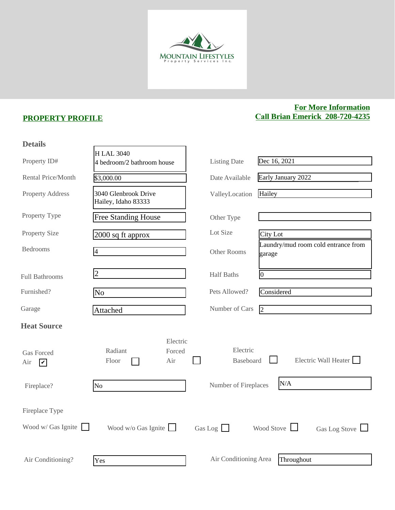

## **PROPERTY PROFILE**

## **For More Information Call Brian Emerick 208-720-4235**

| <b>Details</b>                                           |                                                |                       |                                               |
|----------------------------------------------------------|------------------------------------------------|-----------------------|-----------------------------------------------|
| Property ID#                                             | <b>HLAL 3040</b><br>4 bedroom/2 bathroom house | <b>Listing Date</b>   | Dec 16, 2021                                  |
| <b>Rental Price/Month</b>                                | \$3,000.00                                     | Date Available        | Early January 2022                            |
| <b>Property Address</b>                                  | 3040 Glenbrook Drive<br>Hailey, Idaho 83333    | ValleyLocation        | Hailey                                        |
| Property Type                                            | <b>Free Standing House</b>                     | Other Type            |                                               |
| <b>Property Size</b>                                     | 2000 sq ft approx                              | Lot Size              | City <sub>Lot</sub>                           |
| <b>Bedrooms</b>                                          | 4                                              | Other Rooms           | Laundry/mud room cold entrance from<br>garage |
| <b>Full Bathrooms</b>                                    | $\overline{2}$                                 | <b>Half Baths</b>     | $\vert 0 \vert$                               |
| Furnished?                                               | No                                             | Pets Allowed?         | Considered                                    |
| Garage                                                   | Attached                                       | Number of Cars        | $\vert$ <sub>2</sub>                          |
| <b>Heat Source</b>                                       |                                                |                       |                                               |
| <b>Gas Forced</b><br>Air<br>$\boldsymbol{\triangledown}$ | Electric<br>Radiant<br>Forced<br>Floor<br>Air  | Electric<br>Baseboard | Electric Wall Heater                          |
| Fireplace?                                               | N <sub>o</sub>                                 | Number of Fireplaces  | N/A                                           |
| Fireplace Type<br>Wood w/ Gas Ignite                     | Wood $w/o$ Gas Ignite                          | Gas Log $\Box$        | Wood Stove<br>Gas Log Stove $\Box$            |
| Air Conditioning?                                        | Yes                                            | Air Conditioning Area | Throughout                                    |